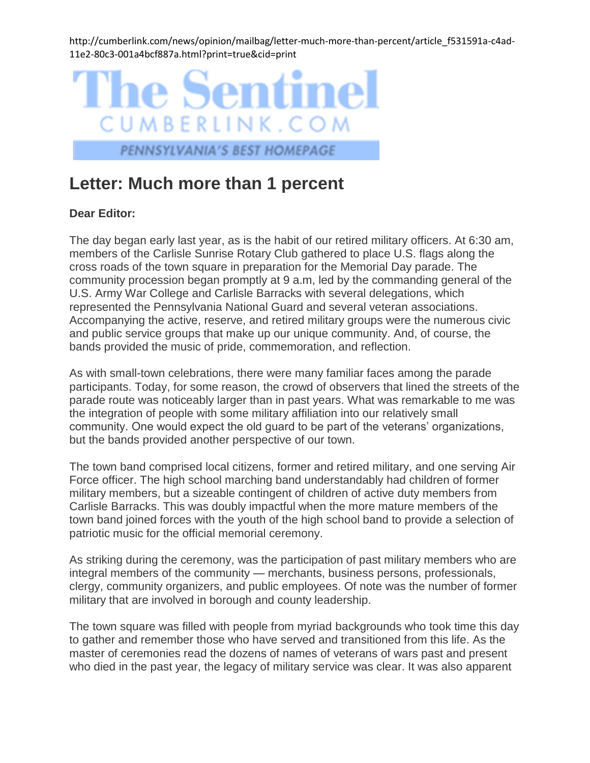http://cumberlink.com/news/opinion/mailbag/letter-much-more-than-percent/article\_f531591a-c4ad-11e2-80c3-001a4bcf887a.html?print=true&cid=print



## PENNSYLVANIA'S BEST HOMEPAGE

## **Letter: Much more than 1 percent**

## **Dear Editor:**

The day began early last year, as is the habit of our retired military officers. At 6:30 am, members of the Carlisle Sunrise Rotary Club gathered to place U.S. flags along the cross roads of the town square in preparation for the Memorial Day parade. The community procession began promptly at 9 a.m, led by the commanding general of the U.S. Army War College and Carlisle Barracks with several delegations, which represented the Pennsylvania National Guard and several veteran associations. Accompanying the active, reserve, and retired military groups were the numerous civic and public service groups that make up our unique community. And, of course, the bands provided the music of pride, commemoration, and reflection.

As with small-town celebrations, there were many familiar faces among the parade participants. Today, for some reason, the crowd of observers that lined the streets of the parade route was noticeably larger than in past years. What was remarkable to me was the integration of people with some military affiliation into our relatively small community. One would expect the old guard to be part of the veterans' organizations, but the bands provided another perspective of our town.

The town band comprised local citizens, former and retired military, and one serving Air Force officer. The high school marching band understandably had children of former military members, but a sizeable contingent of children of active duty members from Carlisle Barracks. This was doubly impactful when the more mature members of the town band joined forces with the youth of the high school band to provide a selection of patriotic music for the official memorial ceremony.

As striking during the ceremony, was the participation of past military members who are integral members of the community — merchants, business persons, professionals, clergy, community organizers, and public employees. Of note was the number of former military that are involved in borough and county leadership.

The town square was filled with people from myriad backgrounds who took time this day to gather and remember those who have served and transitioned from this life. As the master of ceremonies read the dozens of names of veterans of wars past and present who died in the past year, the legacy of military service was clear. It was also apparent